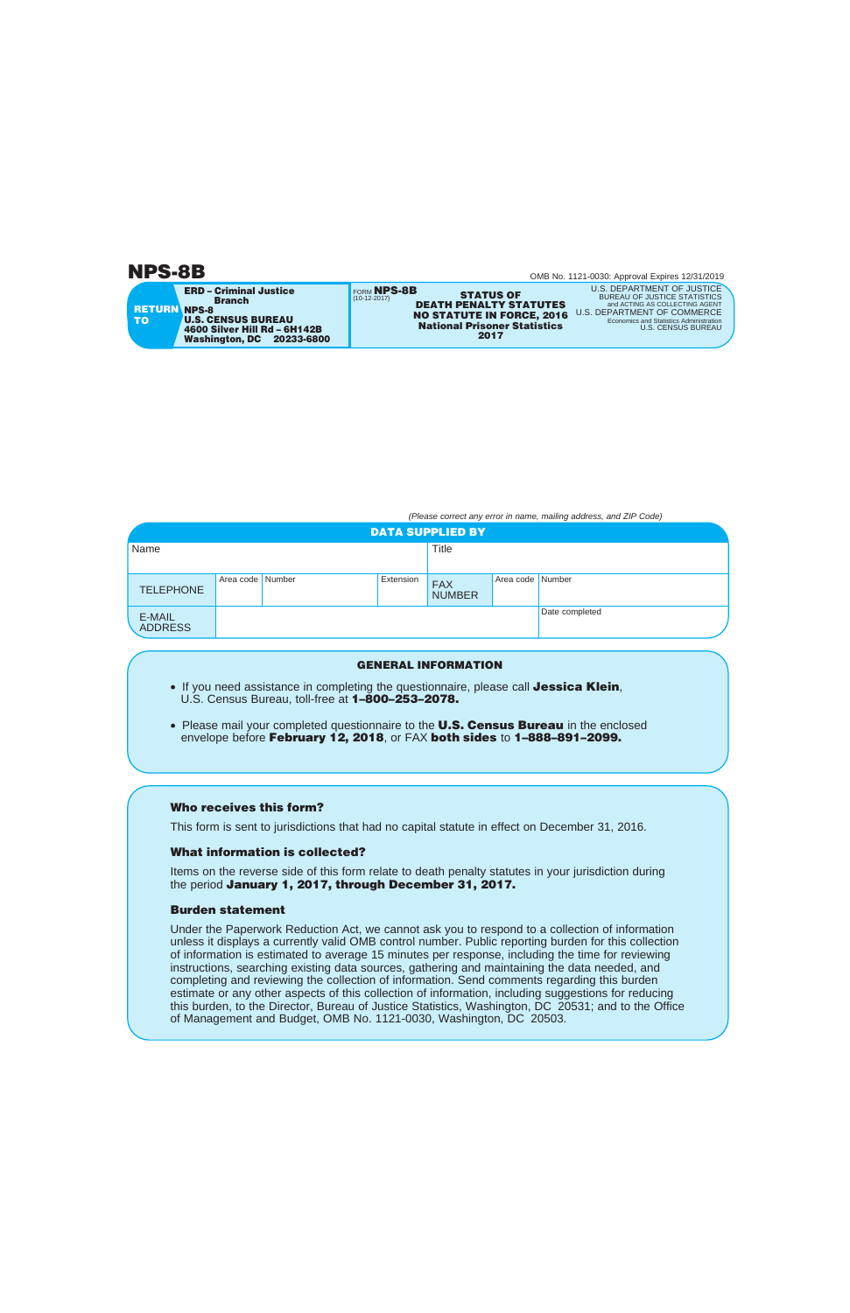**RETURN NPS-8 TO ERD – Criminal Justice Branch U.S. CENSUS BUREAU 4600 Silver Hill Rd – 6H142B Washington, DC 20233-6800** 

FORM **NPS-8B FRITUS OF STATUS OF PEATH PENALTY STATUTES DEATH PENALTY STATUTES NO STATUTE IN FORCE, 2016 National Prisoner Statistics 2017** 

U.S. DEPARTMENT OF JUSTICE BUREAU OF JUSTICE STATISTICS<br>and ACTING AS COLLECTING AGENT and ACTING AS COLLECTING AGENT U.S. DEPARTMENT OF COMMERCE Economics and Statistics Administration U.S. CENSUS BUREAU

*(Please correct any error in name, mailing address, and ZIP Code)* 

| <b>DATA SUPPLIED BY</b>  |                  |  |           |                             |                  |                |  |
|--------------------------|------------------|--|-----------|-----------------------------|------------------|----------------|--|
| Name                     |                  |  |           | <b>Title</b>                |                  |                |  |
|                          |                  |  |           |                             |                  |                |  |
| <b>TELEPHONE</b>         | Area code Number |  | Extension | <b>FAX</b><br><b>NUMBER</b> | Area code Number |                |  |
| E-MAIL<br><b>ADDRESS</b> |                  |  |           |                             |                  | Date completed |  |

### **GENERAL INFORMATION**

- If you need assistance in completing the questionnaire, please call **Jessica Klein**, U.S. Census Bureau, toll-free at **1–800–253–2078.**
- Please mail your completed questionnaire to the **U.S. Census Bureau** in the enclosed envelope before **February 12, 2018**, or FAX **both sides** to **1–888–891–2099.**

## **Who receives this form?**

This form is sent to jurisdictions that had no capital statute in effect on December 31, 2016.

# **What information is collected?**

Items on the reverse side of this form relate to death penalty statutes in your jurisdiction during the period **January 1, 2017, through December 31, 2017.** 

# **Burden statement**

Under the Paperwork Reduction Act, we cannot ask you to respond to a collection of information unless it displays a currently valid OMB control number. Public reporting burden for this collection of information is estimated to average 15 minutes per response, including the time for reviewing instructions, searching existing data sources, gathering and maintaining the data needed, and completing and reviewing the collection of information. Send comments regarding this burden estimate or any other aspects of this collection of information, including suggestions for reducing this burden, to the Director, Bureau of Justice Statistics, Washington, DC 20531; and to the Office of Management and Budget, OMB No. 1121-0030, Washington, DC 20503.